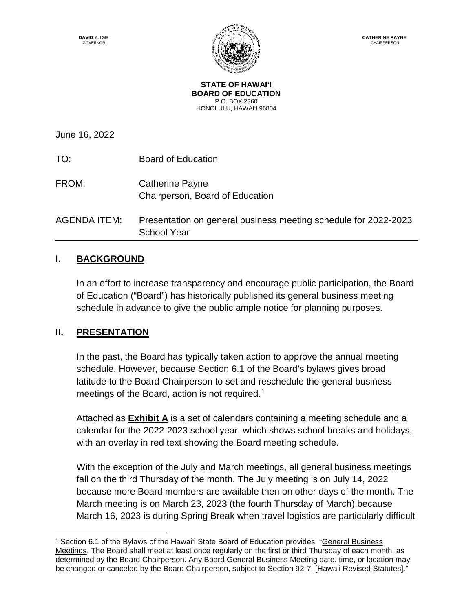

**STATE OF HAWAI'I BOARD OF EDUCATION** P.O. BOX 2360 HONOLULU, HAWAI'I 96804

June 16, 2022

TO: Board of Education FROM: Catherine Payne Chairperson, Board of Education AGENDA ITEM: Presentation on general business meeting schedule for 2022-2023 School Year

# **I. BACKGROUND**

In an effort to increase transparency and encourage public participation, the Board of Education ("Board") has historically published its general business meeting schedule in advance to give the public ample notice for planning purposes.

## **II. PRESENTATION**

 $\overline{a}$ 

In the past, the Board has typically taken action to approve the annual meeting schedule. However, because Section 6.1 of the Board's bylaws gives broad latitude to the Board Chairperson to set and reschedule the general business meetings of the Board, action is not required.<sup>[1](#page-0-0)</sup>

Attached as **Exhibit A** is a set of calendars containing a meeting schedule and a calendar for the 2022-2023 school year, which shows school breaks and holidays, with an overlay in red text showing the Board meeting schedule.

With the exception of the July and March meetings, all general business meetings fall on the third Thursday of the month. The July meeting is on July 14, 2022 because more Board members are available then on other days of the month. The March meeting is on March 23, 2023 (the fourth Thursday of March) because March 16, 2023 is during Spring Break when travel logistics are particularly difficult

<span id="page-0-0"></span><sup>1</sup> Section 6.1 of the Bylaws of the Hawai'i State Board of Education provides, "General Business Meetings. The Board shall meet at least once regularly on the first or third Thursday of each month, as determined by the Board Chairperson. Any Board General Business Meeting date, time, or location may be changed or canceled by the Board Chairperson, subject to Section 92-7, [Hawaii Revised Statutes]."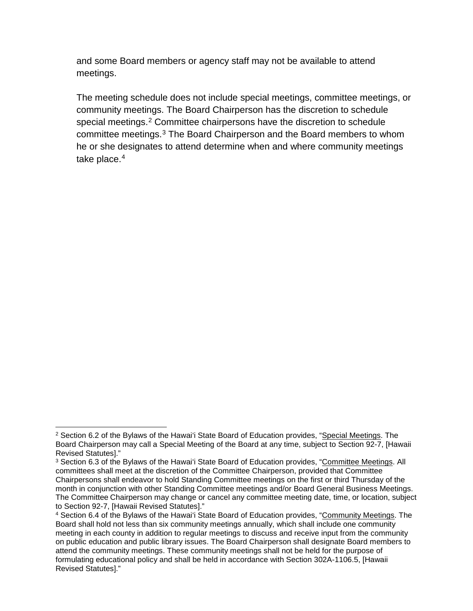and some Board members or agency staff may not be available to attend meetings.

The meeting schedule does not include special meetings, committee meetings, or community meetings. The Board Chairperson has the discretion to schedule special meetings.<sup>[2](#page-1-0)</sup> Committee chairpersons have the discretion to schedule committee meetings.[3](#page-1-1) The Board Chairperson and the Board members to whom he or she designates to attend determine when and where community meetings take place.<sup>[4](#page-1-2)</sup>

 $\overline{a}$ 

<span id="page-1-0"></span> $2$  Section 6.2 of the Bylaws of the Hawai'i State Board of Education provides, "Special Meetings. The Board Chairperson may call a Special Meeting of the Board at any time, subject to Section 92-7, [Hawaii Revised Statutes]."

<span id="page-1-1"></span><sup>3</sup> Section 6.3 of the Bylaws of the Hawai'i State Board of Education provides, "Committee Meetings. All committees shall meet at the discretion of the Committee Chairperson, provided that Committee Chairpersons shall endeavor to hold Standing Committee meetings on the first or third Thursday of the month in conjunction with other Standing Committee meetings and/or Board General Business Meetings. The Committee Chairperson may change or cancel any committee meeting date, time, or location, subject to Section 92-7, [Hawaii Revised Statutes]."

<span id="page-1-2"></span><sup>4</sup> Section 6.4 of the Bylaws of the Hawai'i State Board of Education provides, "Community Meetings. The Board shall hold not less than six community meetings annually, which shall include one community meeting in each county in addition to regular meetings to discuss and receive input from the community on public education and public library issues. The Board Chairperson shall designate Board members to attend the community meetings. These community meetings shall not be held for the purpose of formulating educational policy and shall be held in accordance with Section 302A-1106.5, [Hawaii Revised Statutes]."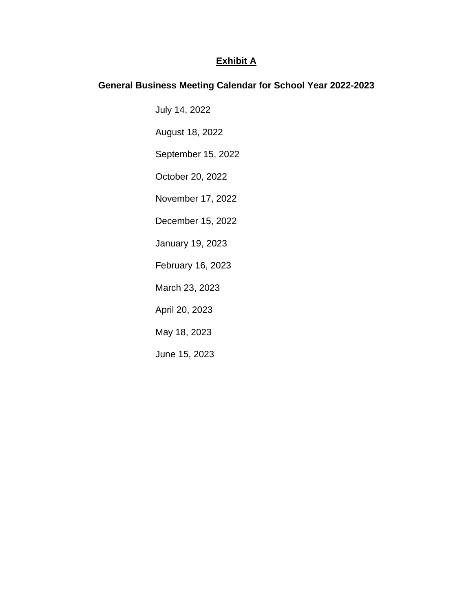## **Exhibit A**

## **General Business Meeting Calendar for School Year 2022-2023**

July 14, 2022

August 18, 2022

September 15, 2022

October 20, 2022

November 17, 2022

December 15, 2022

January 19, 2023

February 16, 2023

March 23, 2023

April 20, 2023

May 18, 2023

June 15, 2023